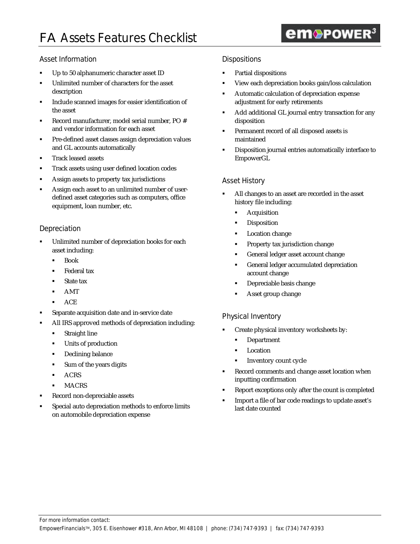# **em**®POWER<sup>3</sup>

## Asset Information

- ß Up to 50 alphanumeric character asset ID
- ß Unlimited number of characters for the asset description
- ß Include scanned images for easier identification of the asset
- ß Record manufacturer, model serial number, PO # and vendor information for each asset
- ß Pre-defined asset classes assign depreciation values and GL accounts automatically
- ß Track leased assets
- ß Track assets using user defined location codes
- ß Assign assets to property tax jurisdictions
- ß Assign each asset to an unlimited number of userdefined asset categories such as computers, office equipment, loan number, etc.

## Depreciation

- ß Unlimited number of depreciation books for each asset including:
	- ß Book
	- **Federal tax**
	- State tax
	- ß AMT
	- **ACE**
- ß Separate acquisition date and in-service date
- ß All IRS approved methods of depreciation including:
	- ß Straight line
	- $\blacksquare$  Units of production
	- **•** Declining balance
	- ß Sum of the years digits
	- **ACRS**
	- **MACRS**
- ß Record non-depreciable assets
- ß Special auto depreciation methods to enforce limits on automobile depreciation expense

## **Dispositions**

- ß Partial dispositions
- ß View each depreciation books gain/loss calculation
- **Automatic calculation of depreciation expense** adjustment for early retirements
- ß Add additional GL journal entry transaction for any disposition
- ß Permanent record of all disposed assets is maintained
- **•** Disposition journal entries automatically interface to EmpowerGL

## Asset History

- ß All changes to an asset are recorded in the asset history file including:
	- **Acquisition**
	- **Disposition**
	- Location change
	- **•** Property tax jurisdiction change
	- General ledger asset account change
	- **•** General ledger accumulated depreciation account change
	- ß Depreciable basis change
	- ß Asset group change

## Physical Inventory

- ß Create physical inventory worksheets by:
	- **•** Department
	- **Location**
	- ß Inventory count cycle
- Record comments and change asset location when inputting confirmation
- ß Report exceptions only after the count is completed
- ß Import a file of bar code readings to update asset's last date counted